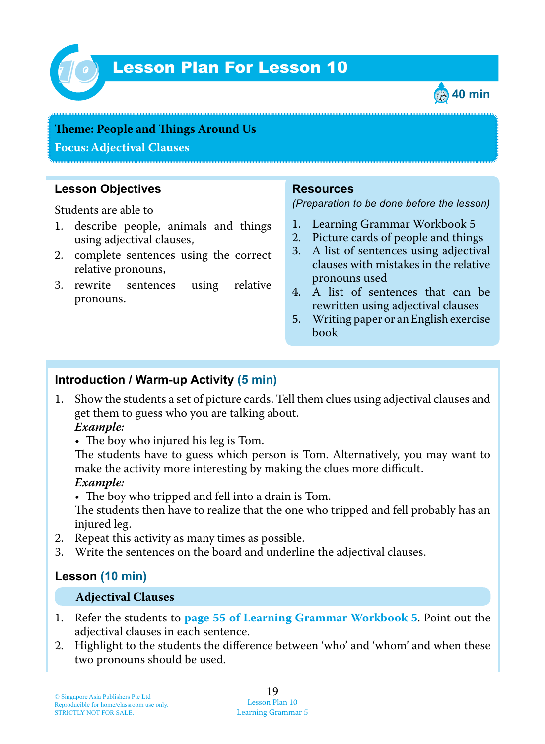

# Lesson Plan For Lesson 10 *10*



## **Teme : People and Tings Around Us**

**Focus: Adjectival Clauses**

## **Lesson Objectives**

Students are able to

- 1. describe people, animals and things using adjectival clauses,
- 2. complete sentences using the correct relative pronouns,
- 3. rewrite sentences using relative pronouns.

#### **Resources**

*(Preparation to be done before the lesson)*

- 1. Learning Grammar Workbook 5
- 2. Picture cards of people and things
- 3. A list of sentences using adjectival clauses with mistakes in the relative pronouns used
- 4. A list of sentences that can be rewritten using adjectival clauses
- 5. Writing paper or an English exercise book

## **Introduction / Warm-up Activity (5 min)**

1. Show the students a set of picture cards. Tell them clues using adjectival clauses and get them to guess who you are talking about.

#### *Example:*

• The boy who injured his leg is Tom.

The students have to guess which person is Tom. Alternatively, you may want to make the activity more interesting by making the clues more difficult.  *Example:*

 $\bullet$  The boy who tripped and fell into a drain is Tom.

The students then have to realize that the one who tripped and fell probably has an injured leg.

- 2. Repeat this activity as many times as possible.
- 3. Write the sentences on the board and underline the adjectival clauses.

## **Lesson (10 min)**

#### **Adjectival Clauses**

- 1. Refer the students to **page 55 of Learning Grammar Workbook 5**. Point out the adjectival clauses in each sentence.
- 2. Highlight to the students the difference between 'who' and 'whom' and when these two pronouns should be used.